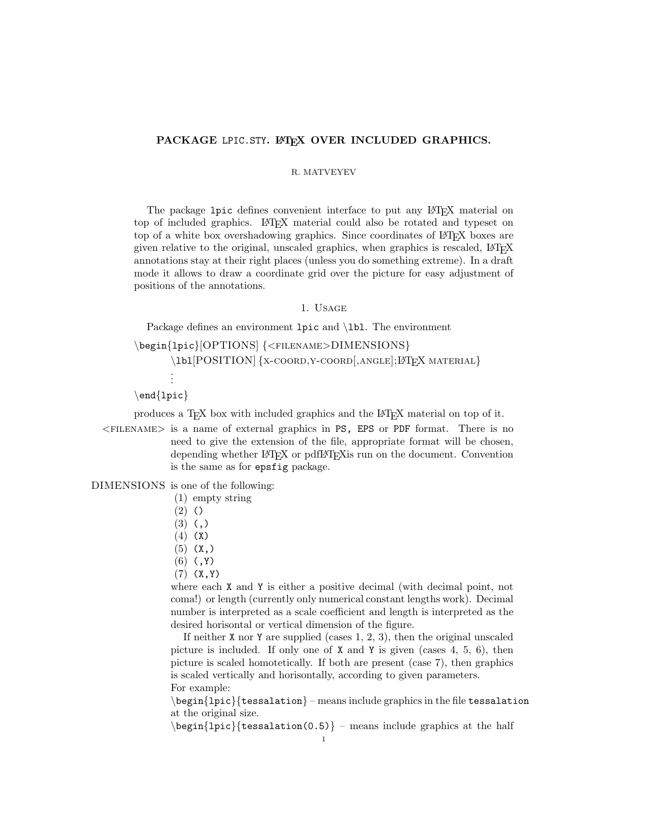# PACKAGE LPIC.STY. LATEX OVER INCLUDED GRAPHICS.

#### R. MATVEYEV

The package 1pic defines convenient interface to put any L<sup>AT</sup>EX material on top of included graphics. LATEX material could also be rotated and typeset on top of a white box overshadowing graphics. Since coordinates of LATEX boxes are given relative to the original, unscaled graphics, when graphics is rescaled, LATEX annotations stay at their right places (unless you do something extreme). In a draft mode it allows to draw a coordinate grid over the picture for easy adjustment of positions of the annotations.

### 1. Usage

Package defines an environment lpic and \lbl. The environment

\begin{lpic}[OPTIONS] {<filename>DIMENSIONS} \lbl[POSITION] {X-COORD, Y-COORD[, ANGLE]; LATEX MATERIAL} . . .

\end{lpic}

produces a TEX box with included graphics and the LATEX material on top of it.

 $\leq$ FILENAME $>$  is a name of external graphics in PS, EPS or PDF format. There is no need to give the extension of the file, appropriate format will be chosen, depending whether LAT<sub>EX</sub> or pdfLAT<sub>EX</sub> is run on the document. Convention is the same as for epsfig package.

DIMENSIONS is one of the following:

(1) empty string

(2) ()

 $(3)$   $(,)$ 

- (4) (X)
- $(5)$   $(X, )$
- $(6)$   $(, Y)$
- $(7)$   $(X, Y)$

where each X and Y is either a positive decimal (with decimal point, not coma!) or length (currently only numerical constant lengths work). Decimal number is interpreted as a scale coefficient and length is interpreted as the desired horisontal or vertical dimension of the figure.

If neither X nor Y are supplied (cases 1, 2, 3), then the original unscaled picture is included. If only one of  $X$  and  $Y$  is given (cases 4, 5, 6), then picture is scaled homotetically. If both are present (case 7), then graphics is scaled vertically and horisontally, according to given parameters. For example:

 $\begin{bmatrix} \begin{array}{c} \begin{array}{c} \end{array} \end{bmatrix}$  (tessalation) – means include graphics in the file tessalation at the original size.

 $\begin{cases} \begin{cases} \frac{1}{\cos^2\theta} - \text{means include graphics at the half} \end{cases} \end{cases}$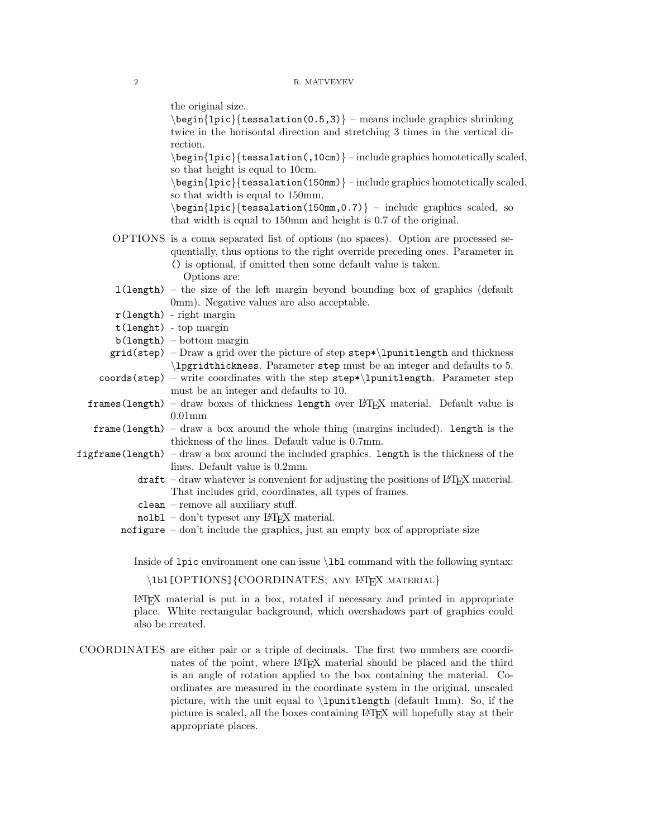the original size.

 $\begin{bmatrix} \begin{array}{c} \begin{array}{c} \end{array} \\ \begin{array}{c} \end{array} \\ \end{bmatrix}$  – means include graphics shrinking twice in the horisontal direction and stretching 3 times in the vertical direction.

\begin{lpic}{tessalation(,10cm)} – include graphics homotetically scaled, so that height is equal to 10cm.

\begin{lpic}{tessalation(150mm)} – include graphics homotetically scaled, so that width is equal to 150mm.

 $\begin{cases} \begin{cases} \frac{1}{\text{pic}} \text{tessulation}(150\text{mm},0.7) \end{cases} \end{cases}$  – include graphics scaled, so that width is equal to 150mm and height is 0.7 of the original.

- OPTIONS is a coma separated list of options (no spaces). Option are processed sequentially, thus options to the right override preceding ones. Parameter in () is optional, if omitted then some default value is taken.
	- Options are:
- l(length) the size of the left margin beyond bounding box of graphics (default 0mm). Negative values are also acceptable.
- r(length) right margin
- t(lenght) top margin
- b(length) bottom margin
- $grid(step) Draw a grid over the picture of step step*\\l\npunitlength and thickness$ \lpgridthickness. Parameter step must be an integer and defaults to 5.

 $\text{coords}$  (step) – write coordinates with the step step\*\lpunitlength. Parameter step must be an integer and defaults to 10.

- $frames(length) draw boxes of thickness length over ETFX material. Default value is$ 0.01mm
- frame(length) draw a box around the whole thing (margins included). length is the thickness of the lines. Default value is 0.7mm.
- figframe(length) draw a box around the included graphics. length is the thickness of the lines. Default value is 0.2mm.
	- $\text{drift}$  draw whatever is convenient for adjusting the positions of LATEX material. That includes grid, coordinates, all types of frames.
	- clean remove all auxiliary stuff.
	- $nolbl don't typeset any  $LATFX$  material.$
	- nofigure  $-\text{don't}$  include the graphics, just an empty box of appropriate size

Inside of lpic environment one can issue \lbl command with the following syntax:

\lbl[OPTIONS]{COORDINATES; ANY LATEX MATERIAL}

LATEX material is put in a box, rotated if necessary and printed in appropriate place. White rectangular background, which overshadows part of graphics could also be created.

COORDINATES are either pair or a triple of decimals. The first two numbers are coordinates of the point, where LAT<sub>EX</sub> material should be placed and the third is an angle of rotation applied to the box containing the material. Coordinates are measured in the coordinate system in the original, unscaled picture, with the unit equal to \lpunitlength (default 1mm). So, if the picture is scaled, all the boxes containing LATEX will hopefully stay at their appropriate places.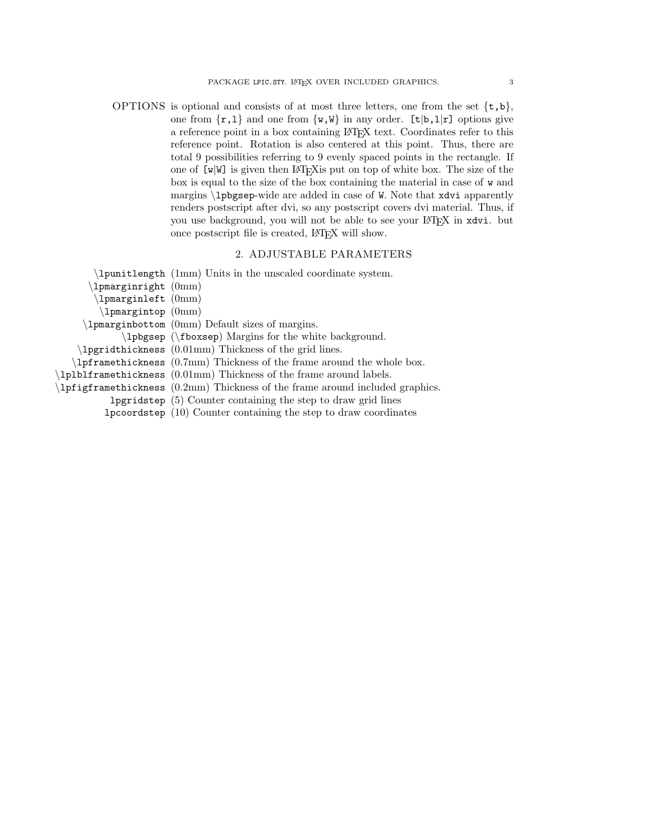OPTIONS is optional and consists of at most three letters, one from the set  $\{t, b\}$ , one from  $\{r,1\}$  and one from  $\{w,\mathbb{W}\}\$ in any order.  $[t|b,1|r]$  options give a reference point in a box containing LATEX text. Coordinates refer to this reference point. Rotation is also centered at this point. Thus, there are total 9 possibilities referring to 9 evenly spaced points in the rectangle. If one of  $[w|W]$  is given then LAT<sub>E</sub>X is put on top of white box. The size of the box is equal to the size of the box containing the material in case of w and margins \lpbgsep-wide are added in case of W. Note that xdvi apparently renders postscript after dvi, so any postscript covers dvi material. Thus, if you use background, you will not be able to see your LATEX in xdvi. but once postscript file is created, LAT<sub>E</sub>X will show.

## 2. ADJUSTABLE PARAMETERS

|                               | (1mm) Units in the unscaled coordinate system.                                         |
|-------------------------------|----------------------------------------------------------------------------------------|
| $\Delta$ pmarginright $(0mm)$ |                                                                                        |
| $\Delta$ pmarginleft $(0mm)$  |                                                                                        |
| $\lambda$ pmargintop $(0mm)$  |                                                                                        |
|                               | (1pmarginbottom (0mm) Default sizes of margins.                                        |
|                               | \lpbgsep (\fboxsep) Margins for the white background.                                  |
|                               | $\Delta$ appriditions (0.01mm) Thickness of the grid lines.                            |
|                               | $\Delta$ pframethickness (0.7mm) Thickness of the frame around the whole box.          |
|                               | $\Delta$ lplblframethickness (0.01mm) Thickness of the frame around labels.            |
|                               | 1pfigframethickness $(0.2 \text{mm})$ Thickness of the frame around included graphics. |
|                               | <b>lpgridstep</b> $(5)$ Counter containing the step to draw grid lines                 |
|                               | $1p$ coordstep $(10)$ Counter containing the step to draw coordinates                  |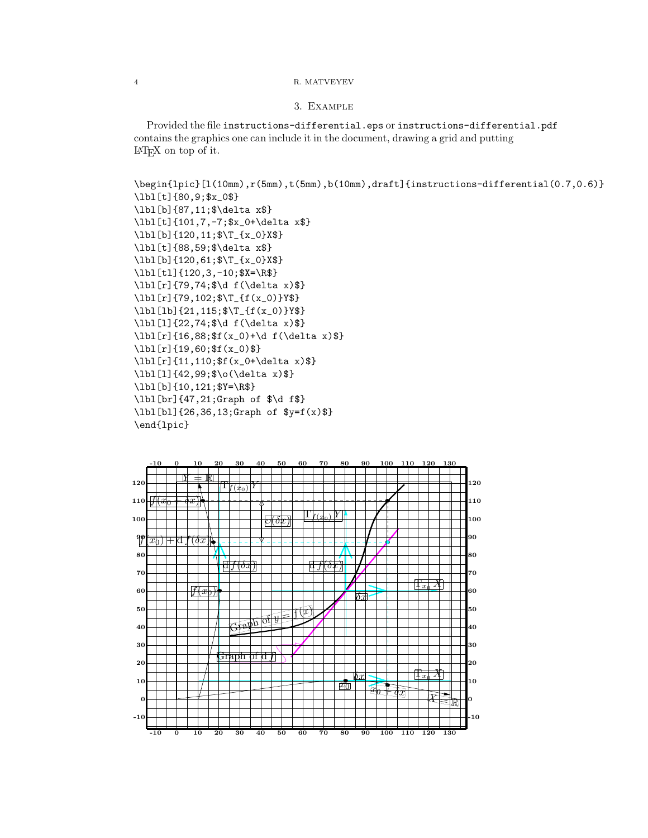# 4 R. MATVEYEV

## 3. Example

Provided the file instructions-differential.eps or instructions-differential.pdf contains the graphics one can include it in the document, drawing a grid and putting LATEX on top of it.

```
\begin{lpic}[l(10mm),r(5mm),t(5mm),b(10mm),draft]{instructions-differential(0.7,0.6)}
\lbl[t]{80,9;$x_0$}
\lbl[b]{87,11;$\delta x$}
\lbl[t]{101,7,-7;$x_0+\delta x$}
\lbl[b]{120,11;$\T_{x_0}X$}
\lbl[t]{88,59;$\delta x$}
\lbl[b]{120,61;$\T_{x_0}X$}
\lbl[tl]{120,3,-10;$X=\R$}
\lbl[r]{79,74;$\d f(\delta x)$}
\lbl[r]{79,102;$\T_{f(x_0)}Y$}
\lbl[lb]{21,115;$\T_{f(x_0)}Y$}
\lbl[l]{22,74;$\d f(\delta x)$}
\ldots x) $} \lbl[r]{16,88; $f(x_0) + \d f(\delta x) $}
\lbl[r]{19,60;$f(x_0)$}
\lbl[r]{11,110;$f(x_0+\delta x)$}
\lbl[l]{42,99;$\o(\delta x)$}
\lbl[b]{10,121;$Y=\R$}
\lbl[br]{47,21;Graph of $\d f$}
\lbl[bl]{26,36,13;Graph of $y=f(x)$}
\end{lpic}
```